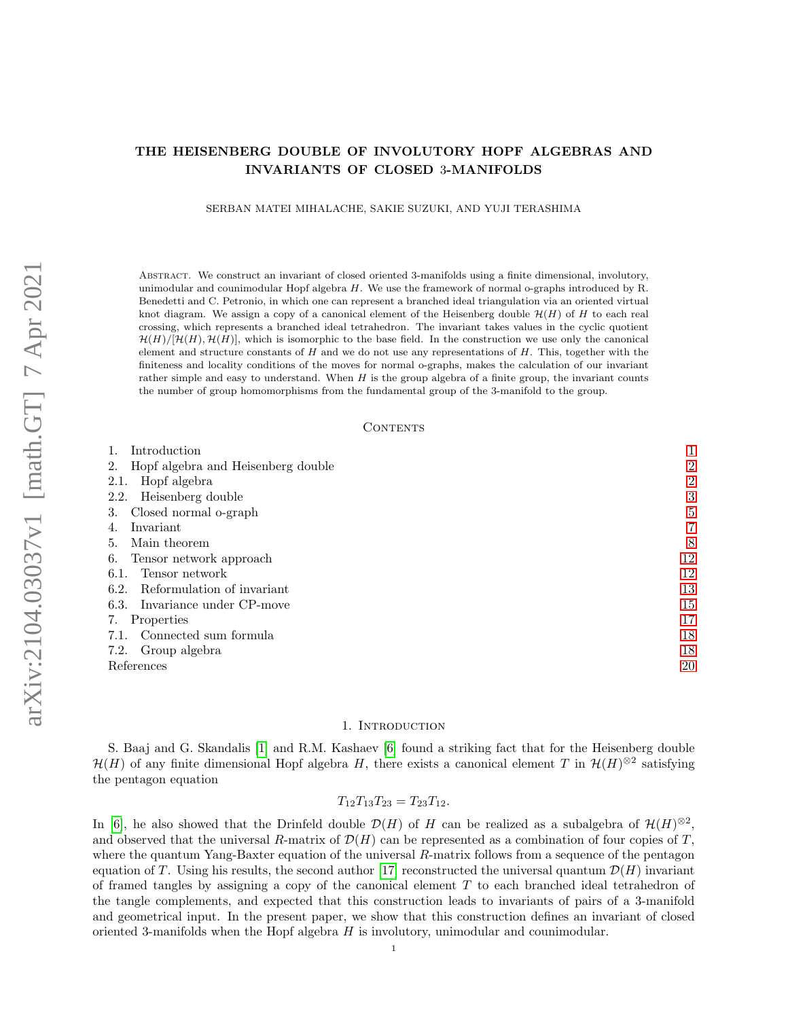SERBAN MATEI MIHALACHE, SAKIE SUZUKI, AND YUJI TERASHIMA

Abstract. We construct an invariant of closed oriented 3-manifolds using a finite dimensional, involutory, unimodular and counimodular Hopf algebra H. We use the framework of normal o-graphs introduced by R. Benedetti and C. Petronio, in which one can represent a branched ideal triangulation via an oriented virtual knot diagram. We assign a copy of a canonical element of the Heisenberg double  $\mathcal{H}(H)$  of H to each real crossing, which represents a branched ideal tetrahedron. The invariant takes values in the cyclic quotient  $\mathcal{H}(H)/[\mathcal{H}(H), \mathcal{H}(H)]$ , which is isomorphic to the base field. In the construction we use only the canonical element and structure constants of  $H$  and we do not use any representations of  $H$ . This, together with the finiteness and locality conditions of the moves for normal o-graphs, makes the calculation of our invariant rather simple and easy to understand. When  $H$  is the group algebra of a finite group, the invariant counts the number of group homomorphisms from the fundamental group of the 3-manifold to the group.

#### **CONTENTS**

| Introduction                             |                |
|------------------------------------------|----------------|
| Hopf algebra and Heisenberg double<br>2. | $\overline{2}$ |
| Hopf algebra<br>2.1.                     | $\overline{2}$ |
| Heisenberg double<br>2.2.                | 3              |
| Closed normal o-graph<br>З.              | 5              |
| Invariant<br>4.                          | $\overline{7}$ |
| Main theorem<br>5.                       | 8              |
| Tensor network approach<br>6.            | 12             |
| Tensor network<br>6.1.                   | 12             |
| Reformulation of invariant<br>6.2.       | 13             |
| Invariance under CP-move<br>6.3.         | 15             |
| Properties<br>7.                         | 17             |
| Connected sum formula<br>7.1.            | 18             |
| Group algebra<br>7.2.                    | 18             |
| References                               | 20             |

#### 1. INTRODUCTION

<span id="page-0-0"></span>S. Baaj and G. Skandalis [\[1\]](#page-19-1) and R.M. Kashaev [\[6\]](#page-19-2) found a striking fact that for the Heisenberg double  $\mathcal{H}(H)$  of any finite dimensional Hopf algebra H, there exists a canonical element T in  $\mathcal{H}(H)^{\otimes 2}$  satisfying the pentagon equation

$$
T_{12}T_{13}T_{23}=T_{23}T_{12}.
$$

In [\[6\]](#page-19-2), he also showed that the Drinfeld double  $\mathcal{D}(H)$  of H can be realized as a subalgebra of  $\mathcal{H}(H)^{\otimes 2}$ , and observed that the universal R-matrix of  $\mathcal{D}(H)$  can be represented as a combination of four copies of T, where the quantum Yang-Baxter equation of the universal R-matrix follows from a sequence of the pentagon equation of T. Using his results, the second author [\[17\]](#page-19-3) reconstructed the universal quantum  $\mathcal{D}(H)$  invariant of framed tangles by assigning a copy of the canonical element  $T$  to each branched ideal tetrahedron of the tangle complements, and expected that this construction leads to invariants of pairs of a 3-manifold and geometrical input. In the present paper, we show that this construction defines an invariant of closed oriented 3-manifolds when the Hopf algebra  $H$  is involutory, unimodular and counimodular.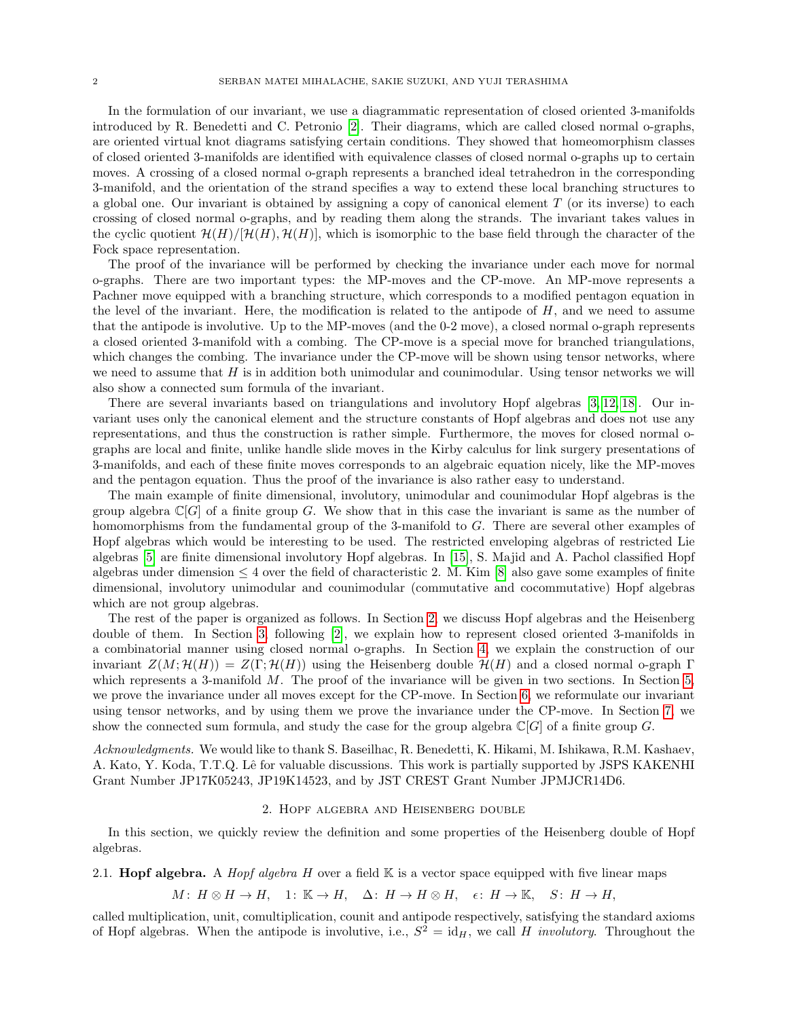In the formulation of our invariant, we use a diagrammatic representation of closed oriented 3-manifolds introduced by R. Benedetti and C. Petronio [\[2\]](#page-19-4). Their diagrams, which are called closed normal o-graphs, are oriented virtual knot diagrams satisfying certain conditions. They showed that homeomorphism classes of closed oriented 3-manifolds are identified with equivalence classes of closed normal o-graphs up to certain moves. A crossing of a closed normal o-graph represents a branched ideal tetrahedron in the corresponding 3-manifold, and the orientation of the strand specifies a way to extend these local branching structures to a global one. Our invariant is obtained by assigning a copy of canonical element  $T$  (or its inverse) to each crossing of closed normal o-graphs, and by reading them along the strands. The invariant takes values in the cyclic quotient  $\mathcal{H}(H)/[\mathcal{H}(H), \mathcal{H}(H)]$ , which is isomorphic to the base field through the character of the Fock space representation.

The proof of the invariance will be performed by checking the invariance under each move for normal o-graphs. There are two important types: the MP-moves and the CP-move. An MP-move represents a Pachner move equipped with a branching structure, which corresponds to a modified pentagon equation in the level of the invariant. Here, the modification is related to the antipode of  $H$ , and we need to assume that the antipode is involutive. Up to the MP-moves (and the 0-2 move), a closed normal o-graph represents a closed oriented 3-manifold with a combing. The CP-move is a special move for branched triangulations, which changes the combing. The invariance under the CP-move will be shown using tensor networks, where we need to assume that  $H$  is in addition both unimodular and counimodular. Using tensor networks we will also show a connected sum formula of the invariant.

There are several invariants based on triangulations and involutory Hopf algebras [\[3,](#page-19-5) [12,](#page-19-6) [18\]](#page-19-7). Our invariant uses only the canonical element and the structure constants of Hopf algebras and does not use any representations, and thus the construction is rather simple. Furthermore, the moves for closed normal ographs are local and finite, unlike handle slide moves in the Kirby calculus for link surgery presentations of 3-manifolds, and each of these finite moves corresponds to an algebraic equation nicely, like the MP-moves and the pentagon equation. Thus the proof of the invariance is also rather easy to understand.

The main example of finite dimensional, involutory, unimodular and counimodular Hopf algebras is the group algebra  $\mathbb{C}[G]$  of a finite group G. We show that in this case the invariant is same as the number of homomorphisms from the fundamental group of the 3-manifold to G. There are several other examples of Hopf algebras which would be interesting to be used. The restricted enveloping algebras of restricted Lie algebras [\[5\]](#page-19-8) are finite dimensional involutory Hopf algebras. In [\[15\]](#page-19-9), S. Majid and A. Pachol classified Hopf algebras under dimension  $\leq 4$  over the field of characteristic 2. M. Kim [\[8\]](#page-19-10) also gave some examples of finite dimensional, involutory unimodular and counimodular (commutative and cocommutative) Hopf algebras which are not group algebras.

The rest of the paper is organized as follows. In Section [2,](#page-1-0) we discuss Hopf algebras and the Heisenberg double of them. In Section [3,](#page-4-0) following [\[2\]](#page-19-4), we explain how to represent closed oriented 3-manifolds in a combinatorial manner using closed normal o-graphs. In Section [4,](#page-6-0) we explain the construction of our invariant  $Z(M; \mathcal{H}(H)) = Z(\Gamma; \mathcal{H}(H))$  using the Heisenberg double  $\mathcal{H}(H)$  and a closed normal o-graph  $\Gamma$ which represents a 3-manifold  $M$ . The proof of the invariance will be given in two sections. In Section [5,](#page-7-0) we prove the invariance under all moves except for the CP-move. In Section [6,](#page-11-0) we reformulate our invariant using tensor networks, and by using them we prove the invariance under the CP-move. In Section [7,](#page-16-0) we show the connected sum formula, and study the case for the group algebra  $\mathbb{C}[G]$  of a finite group G.

Acknowledgments. We would like to thank S. Baseilhac, R. Benedetti, K. Hikami, M. Ishikawa, R.M. Kashaev, A. Kato, Y. Koda, T.T.Q. Lê for valuable discussions. This work is partially supported by JSPS KAKENHI Grant Number JP17K05243, JP19K14523, and by JST CREST Grant Number JPMJCR14D6.

# 2. Hopf algebra and Heisenberg double

<span id="page-1-0"></span>In this section, we quickly review the definition and some properties of the Heisenberg double of Hopf algebras.

# <span id="page-1-1"></span>2.1. **Hopf algebra.** A *Hopf algebra H* over a field  $\mathbb{K}$  is a vector space equipped with five linear maps

 $M: H \otimes H \to H$ , 1:  $\mathbb{K} \to H$ ,  $\Delta: H \to H \otimes H$ ,  $\epsilon: H \to \mathbb{K}$ ,  $S: H \to H$ ,

called multiplication, unit, comultiplication, counit and antipode respectively, satisfying the standard axioms of Hopf algebras. When the antipode is involutive, i.e.,  $S^2 = id_H$ , we call H *involutory*. Throughout the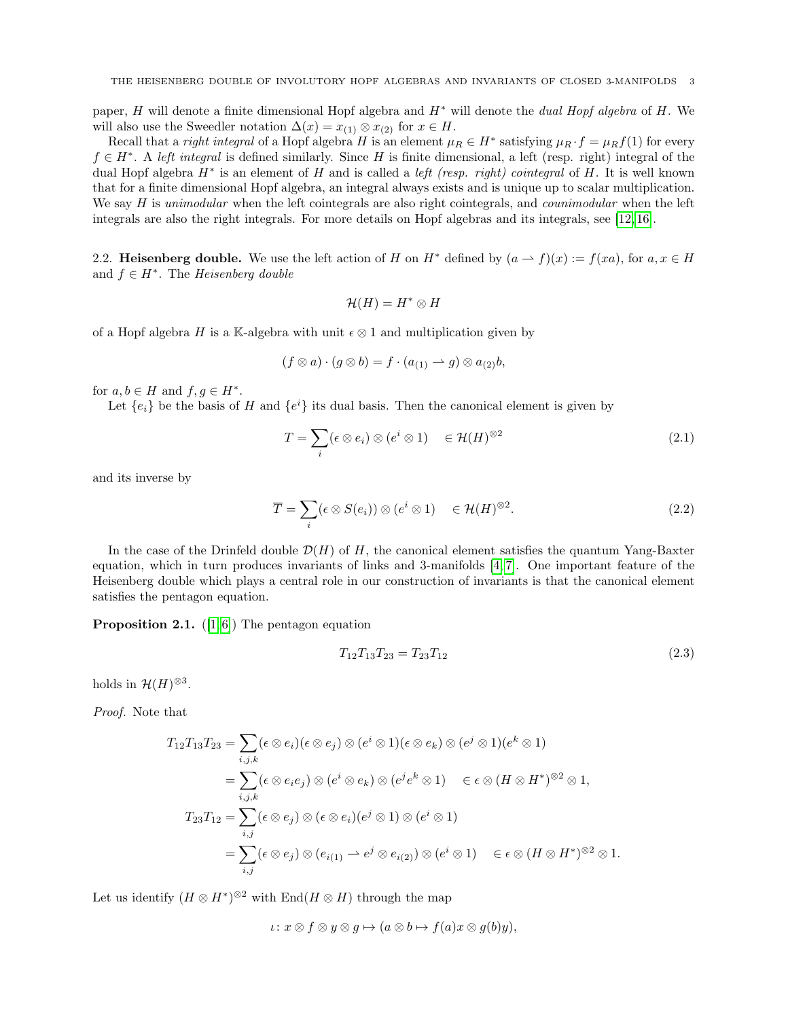paper, H will denote a finite dimensional Hopf algebra and  $H^*$  will denote the *dual Hopf algebra* of H. We will also use the Sweedler notation  $\Delta(x) = x_{(1)} \otimes x_{(2)}$  for  $x \in H$ .

Recall that a *right integral* of a Hopf algebra H is an element  $\mu_R \in H^*$  satisfying  $\mu_R \cdot f = \mu_R f(1)$  for every  $f \in H^*$ . A left integral is defined similarly. Since H is finite dimensional, a left (resp. right) integral of the dual Hopf algebra  $H^*$  is an element of H and is called a *left (resp. right) cointegral* of H. It is well known that for a finite dimensional Hopf algebra, an integral always exists and is unique up to scalar multiplication. We say H is unimodular when the left cointegrals are also right cointegrals, and *counimodular* when the left integrals are also the right integrals. For more details on Hopf algebras and its integrals, see [\[12,](#page-19-6) [16\]](#page-19-11).

<span id="page-2-0"></span>2.2. Heisenberg double. We use the left action of H on  $H^*$  defined by  $(a \to f)(x) := f(xa)$ , for  $a, x \in H$ and  $f \in H^*$ . The Heisenberg double

<span id="page-2-1"></span>
$$
\mathcal{H}(H)=H^*\otimes H
$$

of a Hopf algebra H is a K-algebra with unit  $\epsilon \otimes 1$  and multiplication given by

$$
(f \otimes a) \cdot (g \otimes b) = f \cdot (a_{(1)} \rightarrow g) \otimes a_{(2)}b,
$$

for  $a, b \in H$  and  $f, g \in H^*$ .

Let  $\{e_i\}$  be the basis of H and  $\{e^i\}$  its dual basis. Then the canonical element is given by

$$
T = \sum_{i} (\epsilon \otimes e_i) \otimes (e^i \otimes 1) \quad \in \mathcal{H}(H)^{\otimes 2}
$$
 (2.1)

and its inverse by

$$
\overline{T} = \sum_{i} (\epsilon \otimes S(e_i)) \otimes (e^i \otimes 1) \quad \in \mathcal{H}(H)^{\otimes 2}.
$$
 (2.2)

In the case of the Drinfeld double  $\mathcal{D}(H)$  of H, the canonical element satisfies the quantum Yang-Baxter equation, which in turn produces invariants of links and 3-manifolds [\[4,](#page-19-12) [7\]](#page-19-13). One important feature of the Heisenberg double which plays a central role in our construction of invariants is that the canonical element satisfies the pentagon equation.

**Proposition 2.1.** ([\[1,](#page-19-1)6]) The pentagon equation

<span id="page-2-3"></span><span id="page-2-2"></span>
$$
T_{12}T_{13}T_{23} = T_{23}T_{12} \tag{2.3}
$$

holds in  $\mathcal{H}(H)^{\otimes 3}$ .

Proof. Note that

$$
T_{12}T_{13}T_{23} = \sum_{i,j,k} (\epsilon \otimes e_i)(\epsilon \otimes e_j) \otimes (e^i \otimes 1)(\epsilon \otimes e_k) \otimes (e^j \otimes 1)(e^k \otimes 1)
$$
  
\n
$$
= \sum_{i,j,k} (\epsilon \otimes e_i e_j) \otimes (e^i \otimes e_k) \otimes (e^j e^k \otimes 1) \quad \in \epsilon \otimes (H \otimes H^*)^{\otimes 2} \otimes 1,
$$
  
\n
$$
T_{23}T_{12} = \sum_{i,j} (\epsilon \otimes e_j) \otimes (\epsilon \otimes e_i)(e^j \otimes 1) \otimes (e^i \otimes 1)
$$
  
\n
$$
= \sum_{i,j} (\epsilon \otimes e_j) \otimes (e_{i(1)} \rightarrow e^j \otimes e_{i(2)}) \otimes (e^i \otimes 1) \quad \in \epsilon \otimes (H \otimes H^*)^{\otimes 2} \otimes 1.
$$

Let us identify  $(H \otimes H^*)^{\otimes 2}$  with  $\text{End}(H \otimes H)$  through the map

$$
\iota\colon x\otimes f\otimes y\otimes g\mapsto (a\otimes b\mapsto f(a)x\otimes g(b)y),
$$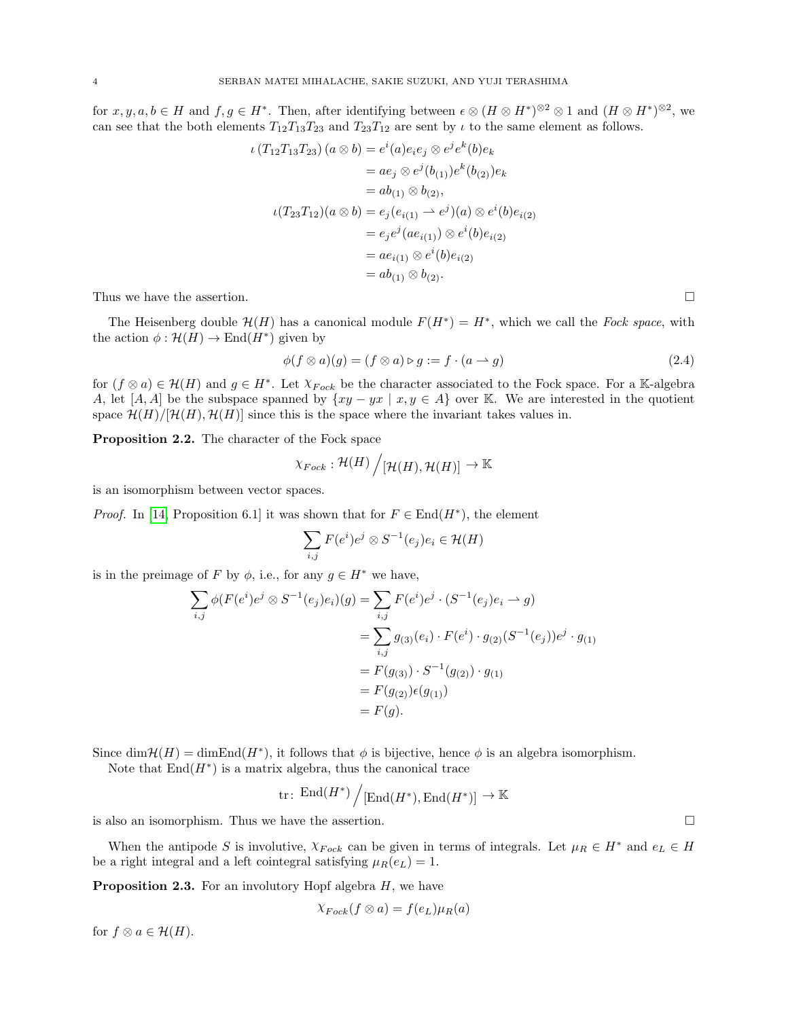for  $x, y, a, b \in H$  and  $f, g \in H^*$ . Then, after identifying between  $\epsilon \otimes (H \otimes H^*)^{\otimes 2} \otimes 1$  and  $(H \otimes H^*)^{\otimes 2}$ , we can see that the both elements  $T_{12}T_{13}T_{23}$  and  $T_{23}T_{12}$  are sent by  $\iota$  to the same element as follows.

$$
\iota(T_{12}T_{13}T_{23})(a \otimes b) = e^{i}(a)e_{i}e_{j} \otimes e^{j}e^{k}(b)e_{k}
$$
  
\n
$$
= ae_{j} \otimes e^{j}(b_{(1)})e^{k}(b_{(2)})e_{k}
$$
  
\n
$$
= ab_{(1)} \otimes b_{(2)},
$$
  
\n
$$
\iota(T_{23}T_{12})(a \otimes b) = e_{j}(e_{i(1)} \rightarrow e^{j})(a) \otimes e^{i}(b)e_{i(2)}
$$
  
\n
$$
= e_{j}e^{j}(ae_{i(1)}) \otimes e^{i}(b)e_{i(2)}
$$
  
\n
$$
= ae_{i(1)} \otimes e^{i}(b)e_{i(2)}
$$
  
\n
$$
= ab_{(1)} \otimes b_{(2)}.
$$

Thus we have the assertion.  $\Box$ 

The Heisenberg double  $\mathcal{H}(H)$  has a canonical module  $F(H^*) = H^*$ , which we call the Fock space, with the action  $\phi : \mathcal{H}(H) \to \text{End}(H^*)$  given by

$$
\phi(f \otimes a)(g) = (f \otimes a) \triangleright g := f \cdot (a \rightarrow g) \tag{2.4}
$$

for  $(f \otimes a) \in \mathcal{H}(H)$  and  $g \in H^*$ . Let  $\chi_{Fock}$  be the character associated to the Fock space. For a K-algebra A, let [A, A] be the subspace spanned by  $\{xy - yx \mid x, y \in A\}$  over K. We are interested in the quotient space  $\mathcal{H}(H)/[\mathcal{H}(H), \mathcal{H}(H)]$  since this is the space where the invariant takes values in.

<span id="page-3-0"></span>Proposition 2.2. The character of the Fock space

$$
\chi_{Fock}: \mathcal{H}(H)\bigg/[\mathcal{H}(H),\mathcal{H}(H)] \to \mathbb{K}
$$

is an isomorphism between vector spaces.

*Proof.* In [\[14,](#page-19-14) Proposition 6.1] it was shown that for  $F \in End(H^*)$ , the element

$$
\sum_{i,j} F(e^i) e^j \otimes S^{-1}(e_j) e_i \in \mathcal{H}(H)
$$

is in the preimage of F by  $\phi$ , i.e., for any  $g \in H^*$  we have,

$$
\sum_{i,j} \phi(F(e^i)e^j \otimes S^{-1}(e_j)e_i)(g) = \sum_{i,j} F(e^i)e^j \cdot (S^{-1}(e_j)e_i \to g)
$$
  
= 
$$
\sum_{i,j} g_{(3)}(e_i) \cdot F(e^i) \cdot g_{(2)}(S^{-1}(e_j))e^j \cdot g_{(1)}
$$
  
= 
$$
F(g_{(3)}) \cdot S^{-1}(g_{(2)}) \cdot g_{(1)}
$$
  
= 
$$
F(g_{(2)})\epsilon(g_{(1)})
$$
  
= 
$$
F(g).
$$

Since  $\dim \mathcal{H}(H) = \dim \text{End}(H^*)$ , it follows that  $\phi$  is bijective, hence  $\phi$  is an algebra isomorphism.

Note that  $\text{End}(H^*)$  is a matrix algebra, thus the canonical trace

$$
\mathrm{tr}\colon \operatorname{End}(H^\ast)\Big/[\operatorname{End}(H^\ast),\operatorname{End}(H^\ast)]\to \mathbb{K}
$$

is also an isomorphism. Thus we have the assertion.

When the antipode S is involutive,  $\chi_{Fock}$  can be given in terms of integrals. Let  $\mu_R \in H^*$  and  $e_L \in H$ be a right integral and a left cointegral satisfying  $\mu_R(e_L) = 1$ .

<span id="page-3-1"></span>**Proposition 2.3.** For an involutory Hopf algebra  $H$ , we have

$$
\chi_{Fock}(f\otimes a)=f(e_L)\mu_R(a)
$$

for  $f \otimes a \in \mathcal{H}(H)$ .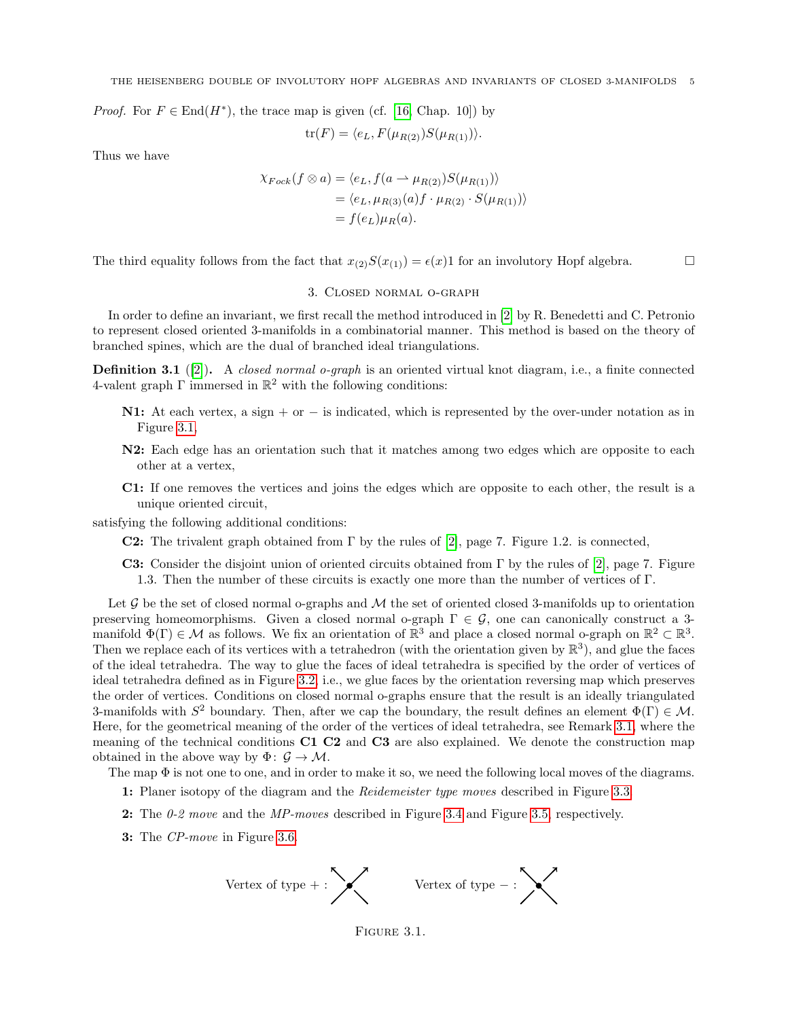*Proof.* For  $F \in \text{End}(H^*)$ , the trace map is given (cf. [\[16,](#page-19-11) Chap. 10]) by

$$
\operatorname{tr}(F) = \langle e_L, F(\mu_{R(2)})S(\mu_{R(1)})\rangle.
$$

Thus we have

$$
\chi_{Fock}(f \otimes a) = \langle e_L, f(a \rightarrow \mu_{R(2)})S(\mu_{R(1)}) \rangle
$$
  
=  $\langle e_L, \mu_{R(3)}(a)f \cdot \mu_{R(2)} \cdot S(\mu_{R(1)}) \rangle$   
=  $f(e_L)\mu_R(a)$ .

The third equality follows from the fact that  $x_{(2)}S(x_{(1)}) = \epsilon(x)1$  for an involutory Hopf algebra.

### 3. Closed normal o-graph

<span id="page-4-0"></span>In order to define an invariant, we first recall the method introduced in [\[2\]](#page-19-4) by R. Benedetti and C. Petronio to represent closed oriented 3-manifolds in a combinatorial manner. This method is based on the theory of branched spines, which are the dual of branched ideal triangulations.

<span id="page-4-2"></span>**Definition 3.1** ([\[2\]](#page-19-4)). A closed normal o-graph is an oriented virtual knot diagram, i.e., a finite connected 4-valent graph  $\Gamma$  immersed in  $\mathbb{R}^2$  with the following conditions:

- N1: At each vertex, a sign + or  $-$  is indicated, which is represented by the over-under notation as in Figure [3.1,](#page-4-1)
- N2: Each edge has an orientation such that it matches among two edges which are opposite to each other at a vertex,
- C1: If one removes the vertices and joins the edges which are opposite to each other, the result is a unique oriented circuit,

satisfying the following additional conditions:

- **C2:** The trivalent graph obtained from  $\Gamma$  by the rules of [\[2\]](#page-19-4), page 7. Figure 1.2. is connected,
- C3: Consider the disjoint union of oriented circuits obtained from  $\Gamma$  by the rules of [\[2\]](#page-19-4), page 7. Figure 1.3. Then the number of these circuits is exactly one more than the number of vertices of Γ.

Let  $\mathcal G$  be the set of closed normal o-graphs and  $\mathcal M$  the set of oriented closed 3-manifolds up to orientation preserving homeomorphisms. Given a closed normal o-graph  $\Gamma \in \mathcal{G}$ , one can canonically construct a 3manifold  $\Phi(\Gamma) \in \mathcal{M}$  as follows. We fix an orientation of  $\mathbb{R}^3$  and place a closed normal o-graph on  $\mathbb{R}^2 \subset \mathbb{R}^3$ . Then we replace each of its vertices with a tetrahedron (with the orientation given by  $\mathbb{R}^3$ ), and glue the faces of the ideal tetrahedra. The way to glue the faces of ideal tetrahedra is specified by the order of vertices of ideal tetrahedra defined as in Figure [3.2,](#page-5-0) i.e., we glue faces by the orientation reversing map which preserves the order of vertices. Conditions on closed normal o-graphs ensure that the result is an ideally triangulated 3-manifolds with  $S^2$  boundary. Then, after we cap the boundary, the result defines an element  $\Phi(\Gamma) \in \mathcal{M}$ . Here, for the geometrical meaning of the order of the vertices of ideal tetrahedra, see Remark [3.1,](#page-6-1) where the meaning of the technical conditions C1 C2 and C3 are also explained. We denote the construction map obtained in the above way by  $\Phi: \mathcal{G} \to \mathcal{M}$ .

The map  $\Phi$  is not one to one, and in order to make it so, we need the following local moves of the diagrams.

- 1: Planer isotopy of the diagram and the *Reidemeister type moves* described in Figure [3.3.](#page-5-1)
- 2: The  $0.2$  move and the MP-moves described in Figure [3.4](#page-5-2) and Figure [3.5,](#page-5-3) respectively.
- 3: The CP-move in Figure [3.6.](#page-5-4)



<span id="page-4-1"></span>FIGURE 3.1.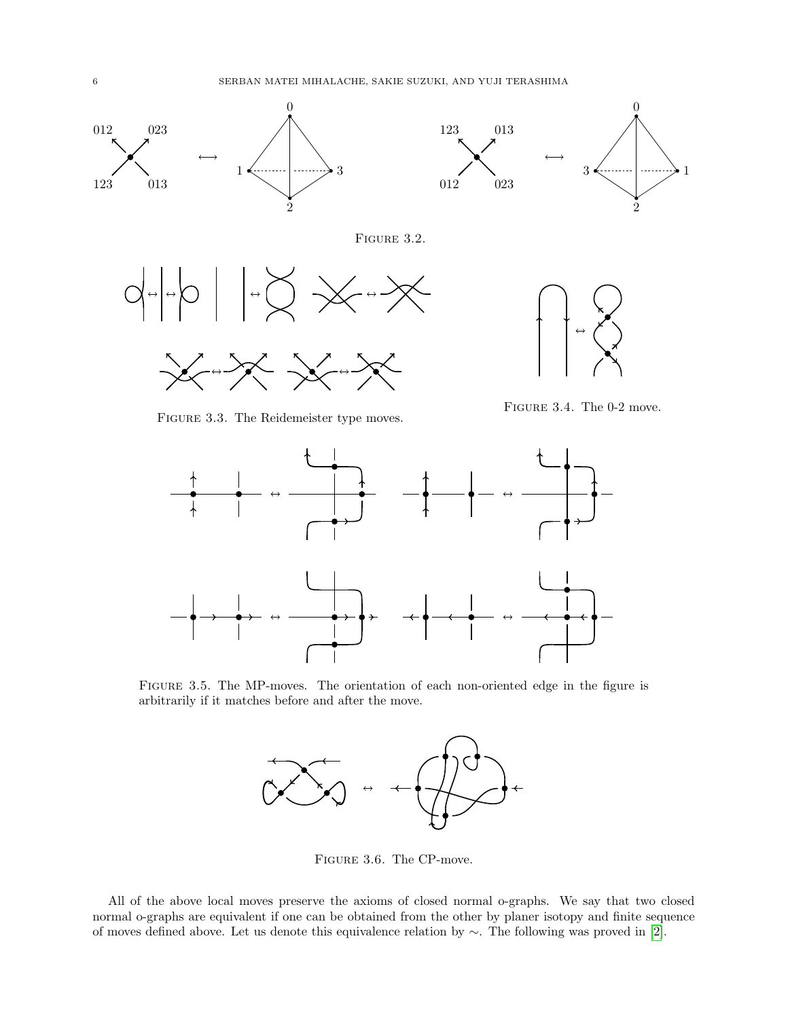

<span id="page-5-0"></span>

FIGURE 3.2.



FIGURE 3.3. The Reidemeister type moves.

<span id="page-5-3"></span><span id="page-5-2"></span><span id="page-5-1"></span>Figure 3.4. The 0-2 move.



Figure 3.5. The MP-moves. The orientation of each non-oriented edge in the figure is arbitrarily if it matches before and after the move.



<span id="page-5-4"></span>Figure 3.6. The CP-move.

All of the above local moves preserve the axioms of closed normal o-graphs. We say that two closed normal o-graphs are equivalent if one can be obtained from the other by planer isotopy and finite sequence of moves defined above. Let us denote this equivalence relation by ∼. The following was proved in [\[2\]](#page-19-4).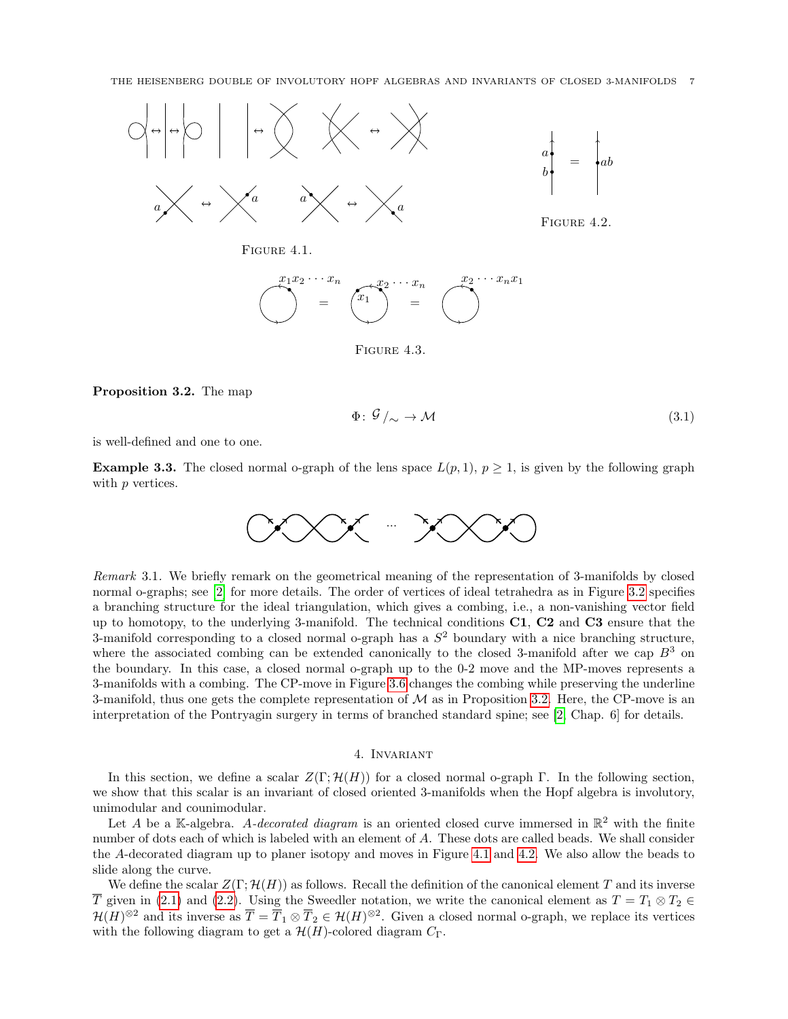

Figure 4.1.



<span id="page-6-5"></span><span id="page-6-4"></span><span id="page-6-3"></span>FIGURE 4.3.

Proposition 3.2. The map

<span id="page-6-2"></span>
$$
\Phi: \mathcal{G} /_{\sim} \to \mathcal{M} \tag{3.1}
$$

is well-defined and one to one.

**Example 3.3.** The closed normal o-graph of the lens space  $L(p, 1)$ ,  $p \ge 1$ , is given by the following graph with p vertices.



<span id="page-6-1"></span>Remark 3.1. We briefly remark on the geometrical meaning of the representation of 3-manifolds by closed normal o-graphs; see [\[2\]](#page-19-4) for more details. The order of vertices of ideal tetrahedra as in Figure [3.2](#page-5-0) specifies a branching structure for the ideal triangulation, which gives a combing, i.e., a non-vanishing vector field up to homotopy, to the underlying 3-manifold. The technical conditions C1, C2 and C3 ensure that the 3-manifold corresponding to a closed normal o-graph has a  $S<sup>2</sup>$  boundary with a nice branching structure, where the associated combing can be extended canonically to the closed 3-manifold after we cap  $B^3$  on the boundary. In this case, a closed normal o-graph up to the 0-2 move and the MP-moves represents a 3-manifolds with a combing. The CP-move in Figure [3.6](#page-5-4) changes the combing while preserving the underline 3-manifold, thus one gets the complete representation of  $\mathcal M$  as in Proposition [3.2.](#page-6-2) Here, the CP-move is an interpretation of the Pontryagin surgery in terms of branched standard spine; see [\[2,](#page-19-4) Chap. 6] for details.

#### 4. Invariant

<span id="page-6-0"></span>In this section, we define a scalar  $Z(\Gamma; \mathcal{H}(H))$  for a closed normal o-graph Γ. In the following section, we show that this scalar is an invariant of closed oriented 3-manifolds when the Hopf algebra is involutory, unimodular and counimodular.

Let A be a K-algebra. A-decorated diagram is an oriented closed curve immersed in  $\mathbb{R}^2$  with the finite number of dots each of which is labeled with an element of A. These dots are called beads. We shall consider the A-decorated diagram up to planer isotopy and moves in Figure [4.1](#page-6-3) and [4.2.](#page-6-4) We also allow the beads to slide along the curve.

We define the scalar  $Z(\Gamma; \mathcal{H}(H))$  as follows. Recall the definition of the canonical element T and its inverse T given in [\(2.1\)](#page-2-1) and [\(2.2\)](#page-2-2). Using the Sweedler notation, we write the canonical element as  $T = T_1 \otimes T_2 \in$  $\mathcal{H}(H)^{\otimes 2}$  and its inverse as  $\overline{T} = \overline{T}_1 \otimes \overline{T}_2 \in \mathcal{H}(H)^{\otimes 2}$ . Given a closed normal o-graph, we replace its vertices with the following diagram to get a  $\mathcal{H}(H)$ -colored diagram  $C_{\Gamma}$ .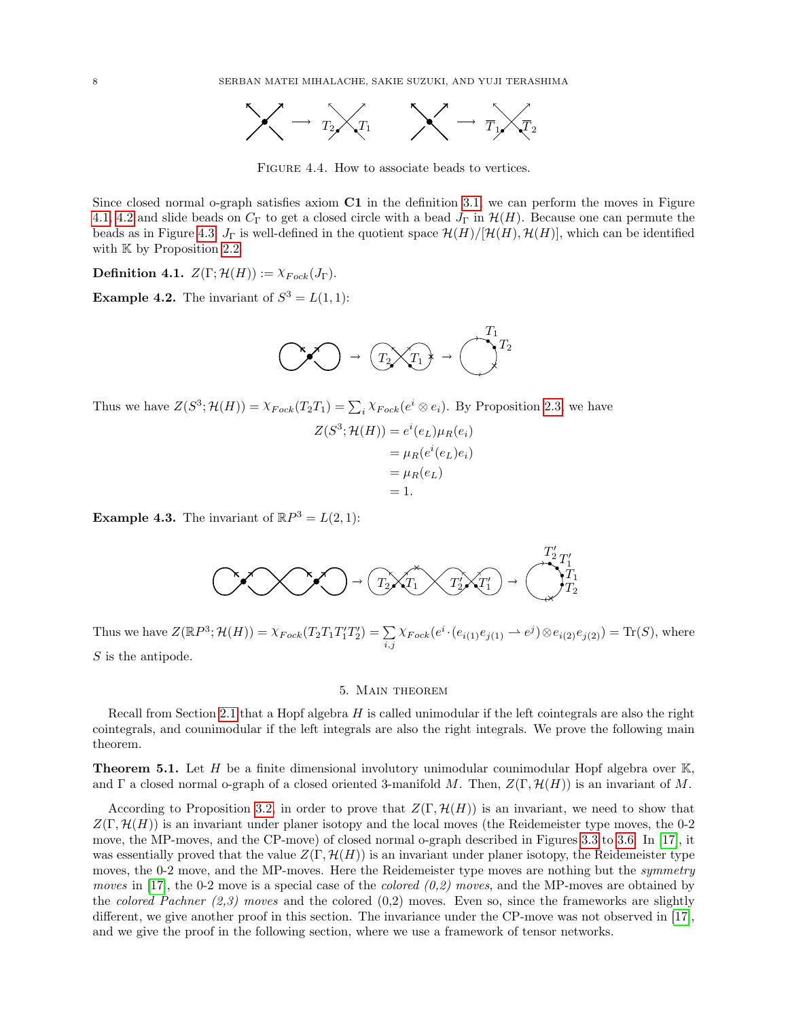

<span id="page-7-2"></span>Figure 4.4. How to associate beads to vertices.

Since closed normal o-graph satisfies axiom C1 in the definition [3.1,](#page-4-2) we can perform the moves in Figure 4.[1,](#page-6-3) [4](#page-6-4).2 and slide beads on  $C_{\Gamma}$  to get a closed circle with a bead  $J_{\Gamma}$  in  $\mathcal{H}(H)$ . Because one can permute the beads as in Figure [4.3,](#page-6-5)  $J_{\Gamma}$  is well-defined in the quotient space  $\mathcal{H}(H)/[\mathcal{H}(H), \mathcal{H}(H)]$ , which can be identified with  $\mathbb K$  by Proposition [2.2.](#page-3-0)

**Definition 4.1.**  $Z(\Gamma; \mathcal{H}(H)) := \chi_{Fock}(J_{\Gamma}).$ 

**Example 4.2.** The invariant of  $S^3 = L(1,1)$ :



Thus we have  $Z(S^3; \mathcal{H}(H)) = \chi_{Fock}(T_2T_1) = \sum_i \chi_{Fock}(e^i \otimes e_i)$ . By Proposition [2.3,](#page-3-1) we have

$$
Z(S3; \mathcal{H}(H)) = ei(eL)\muR(ei)
$$
  
=  $\muR(ei(eL)ei)$   
=  $\muR(eL)$   
= 1.

**Example 4.3.** The invariant of  $\mathbb{R}P^3 = L(2,1)$ :



Thus we have  $Z(\mathbb{R}P^3; \mathcal{H}(H)) = \chi_{Fock}(T_2T_1T_1'T_2') = \sum_{i=1}^n \chi_{Fock}(T_2T_1'T_2')$  $\sum_{i,j} \chi_{Fock}(e^i \cdot (e_{i(1)}e_{j(1)} \rightarrow e^j) \otimes e_{i(2)}e_{j(2)}) = \text{Tr}(S)$ , where S is the antipode.

## 5. Main theorem

<span id="page-7-0"></span>Recall from Section [2.1](#page-1-1) that a Hopf algebra H is called unimodular if the left cointegrals are also the right cointegrals, and counimodular if the left integrals are also the right integrals. We prove the following main theorem.

<span id="page-7-1"></span>**Theorem 5.1.** Let H be a finite dimensional involutory unimodular counimodular Hopf algebra over  $\mathbb{K}$ , and Γ a closed normal o-graph of a closed oriented 3-manifold M. Then,  $Z(\Gamma, \mathcal{H}(H))$  is an invariant of M.

According to Proposition [3.2,](#page-6-2) in order to prove that  $Z(\Gamma, \mathcal{H}(H))$  is an invariant, we need to show that  $Z(\Gamma, \mathcal{H}(H))$  is an invariant under planer isotopy and the local moves (the Reidemeister type moves, the 0-2 move, the MP-moves, and the CP-move) of closed normal o-graph described in Figures [3.3](#page-5-1) to [3.6.](#page-5-4) In [\[17\]](#page-19-3), it was essentially proved that the value  $Z(\Gamma, \mathcal{H}(H))$  is an invariant under planer isotopy, the Reidemeister type moves, the 0-2 move, and the MP-moves. Here the Reidemeister type moves are nothing but the *symmetry moves* in [\[17\]](#page-19-3), the 0-2 move is a special case of the *colored*  $(0,2)$  moves, and the MP-moves are obtained by the colored Pachner  $(2,3)$  moves and the colored  $(0,2)$  moves. Even so, since the frameworks are slightly different, we give another proof in this section. The invariance under the CP-move was not observed in [\[17\]](#page-19-3), and we give the proof in the following section, where we use a framework of tensor networks.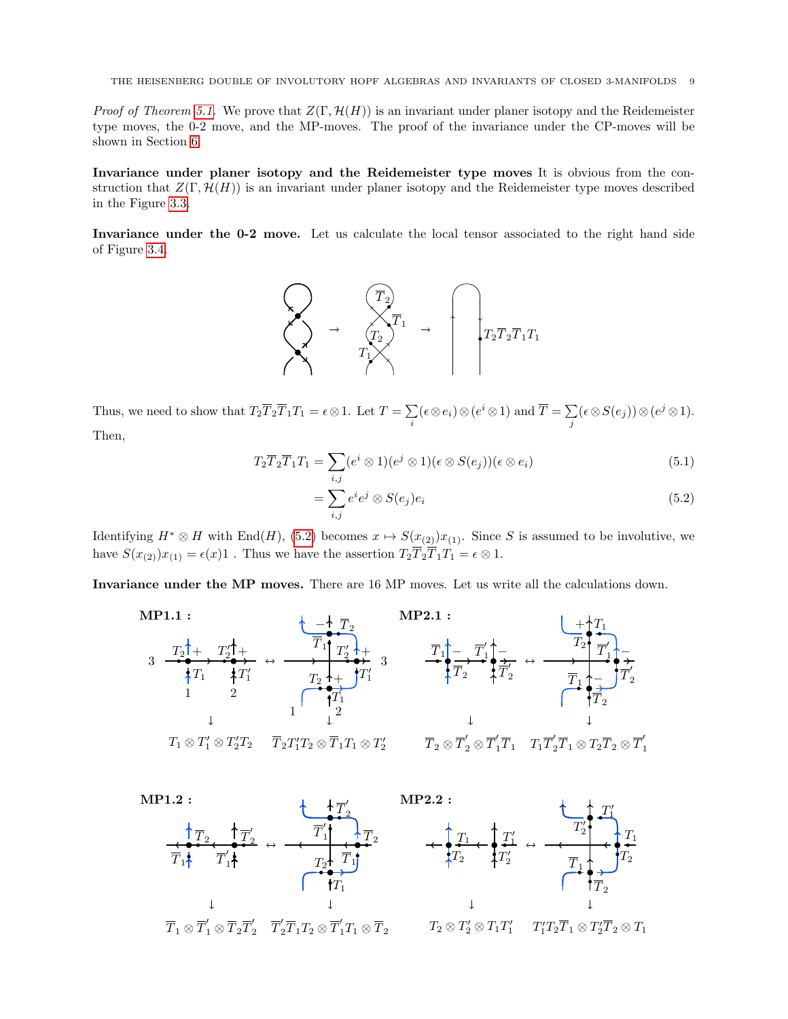*Proof of Theorem [5.1.](#page-7-1)* We prove that  $Z(\Gamma, \mathcal{H}(H))$  is an invariant under planer isotopy and the Reidemeister type moves, the 0-2 move, and the MP-moves. The proof of the invariance under the CP-moves will be shown in Section [6.](#page-11-0)

Invariance under planer isotopy and the Reidemeister type moves It is obvious from the construction that  $Z(\Gamma, \mathcal{H}(H))$  is an invariant under planer isotopy and the Reidemeister type moves described in the Figure [3.3.](#page-5-1)

Invariance under the 0-2 move. Let us calculate the local tensor associated to the right hand side of Figure [3.4.](#page-5-2)



Thus, we need to show that  $T_2 \overline{T}_2 \overline{T}_1 T_1 = \epsilon \otimes 1$ . Let  $T = \sum$  $\sum_{i} (\epsilon \otimes e_i) \otimes (e^i \otimes 1)$  and  $\overline{T} = \sum_{j}$  $\sum\limits_j (\epsilon\mathop{\otimes} S(e_j))\mathop{\otimes} (e^j\mathop{\otimes} 1).$ 

Then,

$$
T_2 \overline{T}_2 \overline{T}_1 T_1 = \sum_{i,j} (e^i \otimes 1)(e^j \otimes 1)(\epsilon \otimes S(e_j))(\epsilon \otimes e_i)
$$
\n(5.1)

<span id="page-8-0"></span>
$$
=\sum_{i,j}e^{i}e^{j}\otimes S(e_{j})e_{i}
$$
\n(5.2)

Identifying  $H^* \otimes H$  with End(H), [\(5.2\)](#page-8-0) becomes  $x \mapsto S(x_{(2)})x_{(1)}$ . Since S is assumed to be involutive, we have  $S(x_{(2)})x_{(1)} = \epsilon(x)1$ . Thus we have the assertion  $T_2\overline{T}_2\overline{T}_1T_1 = \epsilon \otimes 1$ .

Invariance under the MP moves. There are 16 MP moves. Let us write all the calculations down.



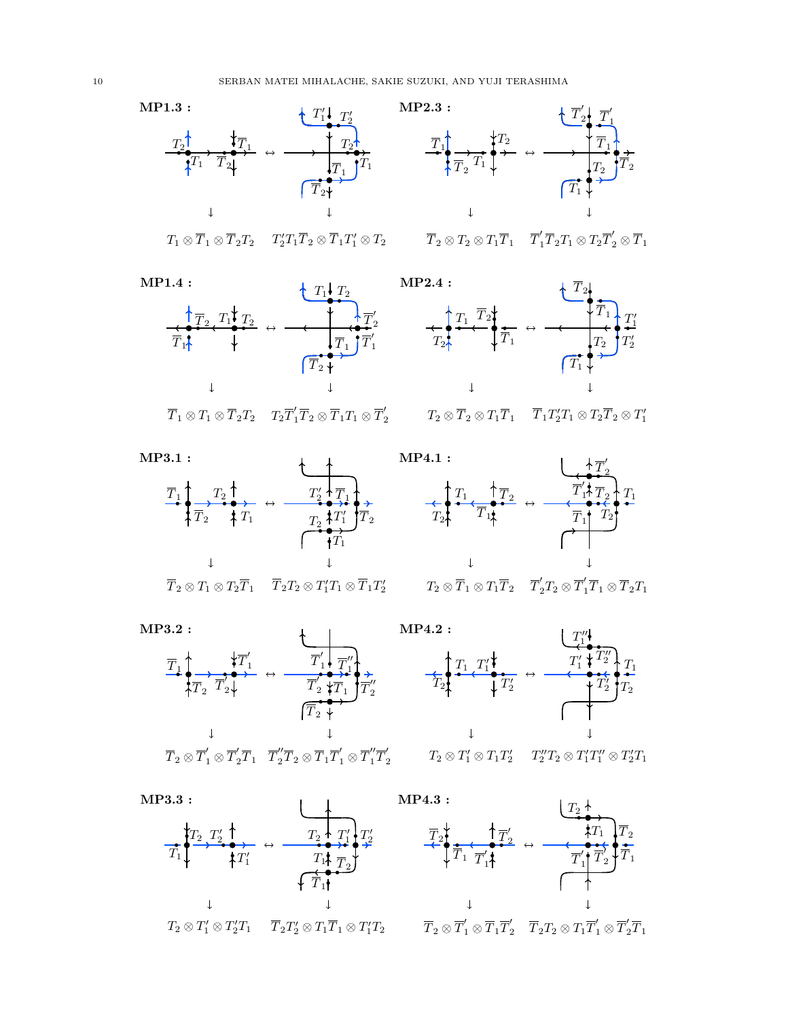

$$
T_1\otimes \overline{T}_1\otimes \overline{T}_2T_2 \quad T_2'T_1\overline{T}_2\otimes \overline{T}_1T_1'\otimes T_2
$$













$$
\overline{T}_2 \otimes T_1 \otimes T_2 \overline{T}_1 \qquad \overline{T}_2 T_2 \otimes T_1' T_1 \otimes \overline{T}_1 T_2'
$$



 $T_2 \otimes \overline{T}_1 \otimes T_1 \overline{T}_2 \quad \overline{T}_2' T_2 \otimes \overline{T}_1' \overline{T}_1 \otimes \overline{T}_2 T_1$ 







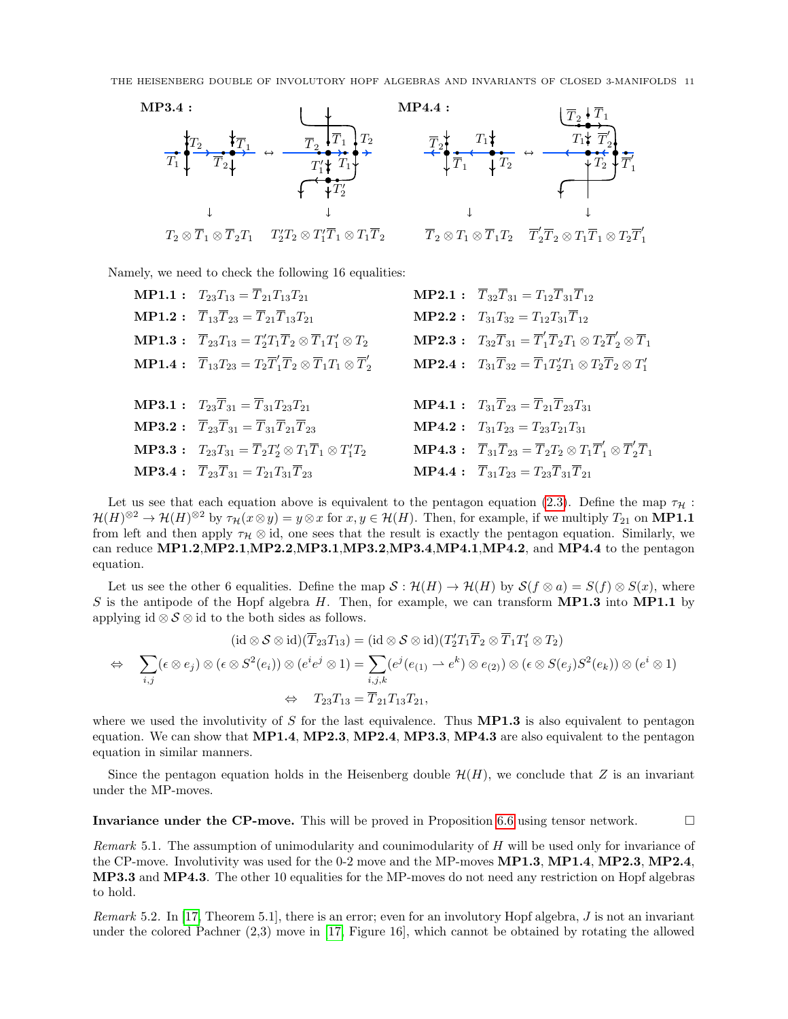

Namely, we need to check the following 16 equalities:

**MP1.1** :  $T_{23}T_{13} = \overline{T}_{21}T_{13}T_{21}$  **MP2.1** :  $\overline{T}_{32}\overline{T}_{31} = T_{12}\overline{T}_{31}\overline{T}_{12}$ **MP1.2** :  $\overline{T}_{13}\overline{T}_{23} = \overline{T}_{21}\overline{T}_{13}T_{21}$  **MP2.2** :  $T_{31}T_{32} = T_{12}T_{31}\overline{T}_{12}$ **MP1.3**:  $T_{23}T_{13} = T'_2T_1T_2 \otimes T_1T'_1$  $T_1' \otimes T_2$  MP2.3:  $T_{32}\overline{T}_{31} = \overline{T}_1' \overline{T}_2 T_1 \otimes T_2 \overline{T}_2' \otimes \overline{T}_1$  $\mathbf{MP1.4:} \quad \overline{T}_{13}T_{23} = T_2\overline{T}'_1\overline{T}_2 \otimes \overline{T}_1T_1 \otimes \overline{T}'_2$  $T_2$  MP2.4:  $T_{31}T_{32} = T_1T_2'T_1 \otimes T_2T_2 \otimes T_1'$ **MP3.1** :  $T_{23}\overline{T}_{31} = \overline{T}_{31}T_{23}T_{21}$  **MP4.1** :  $T_{31}\overline{T}_{23} = \overline{T}_{21}\overline{T}_{23}T_{31}$ **MP3.2** :  $\overline{T}_{23}\overline{T}_{31} = \overline{T}_{31}\overline{T}_{21}\overline{T}_{23}$  **MP4.2** :  $T_{31}T_{23} = T_{23}T_{21}T_{31}$ **MP3.3**:  $T_{23}T_{31} = T_2T_2' \otimes T_1T_1 \otimes T_1'$  $T_1^{\prime}T_2$  MP4.3:  $\overline{T}_{31}\overline{T}_{23} = \overline{T}_2T_2 \otimes T_1\overline{T}_1^{\prime} \otimes \overline{T}_2^{\prime}\overline{T}_1$ **MP3.4** :  $\overline{T}_{23}\overline{T}_{31} = T_{21}T_{31}\overline{T}_{23}$  **MP4.4** :  $\overline{T}_{31}T_{23} = T_{23}\overline{T}_{31}\overline{T}_{21}$ 

Let us see that each equation above is equivalent to the pentagon equation [\(2.3\)](#page-2-3). Define the map  $\tau_H$ :  $\mathcal{H}(H)^{\otimes 2} \to \mathcal{H}(H)^{\otimes 2}$  by  $\tau_{\mathcal{H}}(x \otimes y) = y \otimes x$  for  $x, y \in \mathcal{H}(H)$ . Then, for example, if we multiply  $T_{21}$  on **MP1.1** from left and then apply  $\tau_H \otimes id$ , one sees that the result is exactly the pentagon equation. Similarly, we can reduce MP1.2,MP2.1,MP2.2,MP3.1,MP3.2,MP3.4,MP4.1,MP4.2, and MP4.4 to the pentagon equation.

Let us see the other 6 equalities. Define the map  $S : \mathcal{H}(H) \to \mathcal{H}(H)$  by  $\mathcal{S}(f \otimes a) = S(f) \otimes S(x)$ , where S is the antipode of the Hopf algebra H. Then, for example, we can transform  $MP1.3$  into  $MP1.1$  by applying id  $\otimes$  S  $\otimes$  id to the both sides as follows.

$$
(\mathrm{id}\otimes\mathcal{S}\otimes\mathrm{id})(\overline{T}_{23}T_{13})=(\mathrm{id}\otimes\mathcal{S}\otimes\mathrm{id})(T_2'T_1\overline{T}_2\otimes\overline{T}_1T_1'\otimes T_2)
$$
  
\n
$$
\Leftrightarrow \sum_{i,j}(\epsilon\otimes e_j)\otimes(\epsilon\otimes S^2(e_i))\otimes(e^ie^j\otimes 1)=\sum_{i,j,k}(e^j(e_{(1)}\rightarrow e^k)\otimes e_{(2)})\otimes(\epsilon\otimes S(e_j)S^2(e_k))\otimes(e^i\otimes 1)
$$
  
\n
$$
\Leftrightarrow T_{23}T_{13}=\overline{T}_{21}T_{13}T_{21},
$$

where we used the involutivity of  $S$  for the last equivalence. Thus **MP1.3** is also equivalent to pentagon equation. We can show that MP1.4, MP2.3, MP2.4, MP3.3, MP4.3 are also equivalent to the pentagon equation in similar manners.

Since the pentagon equation holds in the Heisenberg double  $\mathcal{H}(H)$ , we conclude that Z is an invariant under the MP-moves.

Invariance under the CP-move. This will be proved in Proposition [6.6](#page-15-0) using tensor network.  $\Box$ 

*Remark* 5.1. The assumption of unimodularity and counimodularity of  $H$  will be used only for invariance of the CP-move. Involutivity was used for the 0-2 move and the MP-moves MP1.3, MP1.4, MP2.3, MP2.4, MP3.3 and MP4.3. The other 10 equalities for the MP-moves do not need any restriction on Hopf algebras to hold.

*Remark* 5.2. In [\[17,](#page-19-3) Theorem 5.1], there is an error; even for an involutory Hopf algebra,  $J$  is not an invariant under the colored Pachner (2,3) move in [\[17,](#page-19-3) Figure 16], which cannot be obtained by rotating the allowed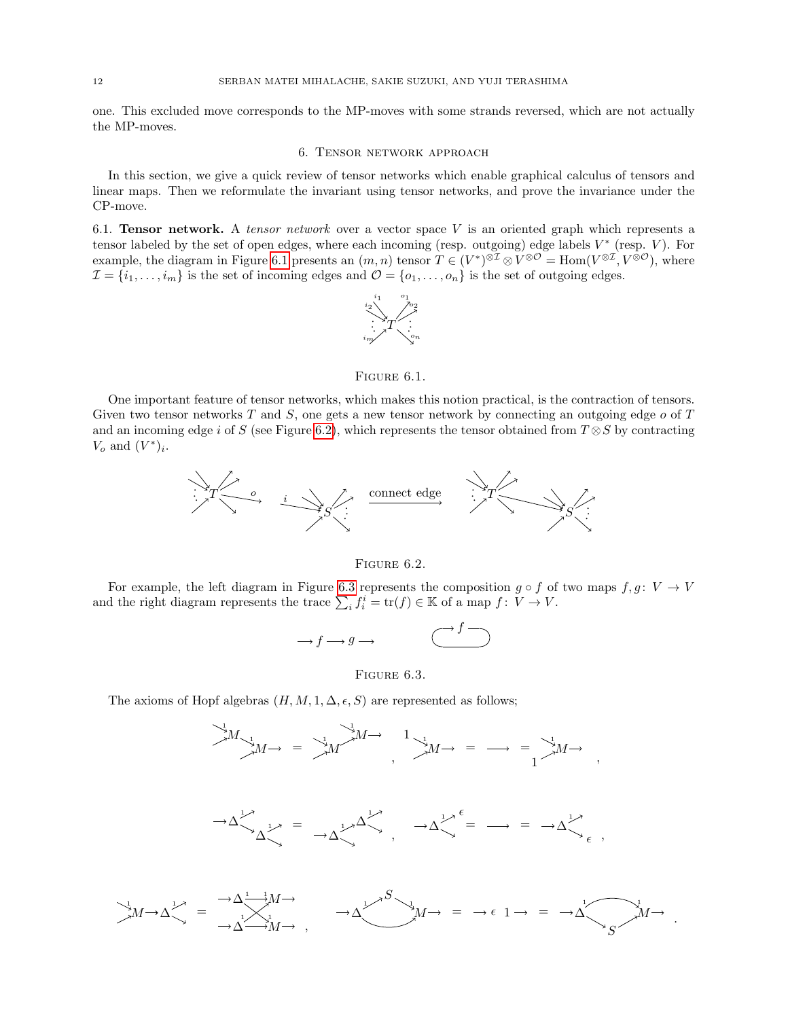one. This excluded move corresponds to the MP-moves with some strands reversed, which are not actually the MP-moves.

### 6. Tensor network approach

<span id="page-11-0"></span>In this section, we give a quick review of tensor networks which enable graphical calculus of tensors and linear maps. Then we reformulate the invariant using tensor networks, and prove the invariance under the CP-move.

<span id="page-11-1"></span>6.1. **Tensor network.** A tensor network over a vector space V is an oriented graph which represents a tensor labeled by the set of open edges, where each incoming (resp. outgoing) edge labels  $V^*$  (resp.  $V$ ). For example, the diagram in Figure [6.1](#page-11-2) presents an  $(m, n)$  tensor  $T \in (V^*)^{\otimes \mathbb{Z}} \otimes V^{\otimes \mathcal{O}} = \text{Hom}(V^{\otimes \mathbb{Z}}, V^{\otimes \mathcal{O}})$ , where  $\mathcal{I} = \{i_1, \ldots, i_m\}$  is the set of incoming edges and  $\mathcal{O} = \{o_1, \ldots, o_n\}$  is the set of outgoing edges.

<span id="page-11-2"></span>

#### FIGURE  $6.1$ .

One important feature of tensor networks, which makes this notion practical, is the contraction of tensors. Given two tensor networks  $T$  and  $S$ , one gets a new tensor network by connecting an outgoing edge  $o$  of  $T$ and an incoming edge i of S (see Figure [6.2\)](#page-11-3), which represents the tensor obtained from  $T \otimes S$  by contracting  $V_o$  and  $(V^*)_i$ .



<span id="page-11-3"></span>FIGURE 6.2.

For example, the left diagram in Figure [6.3](#page-11-4) represents the composition  $g \circ f$  of two maps  $f, g: V \to V$ and the right diagram represents the trace  $\sum_i f_i^i = \text{tr}(f) \in \mathbb{K}$  of a map  $f: V \to V$ .

$$
\longrightarrow f \longrightarrow g \longrightarrow \qquad \qquad \overbrace{\qquad \qquad }^{f} \overbrace{\qquad \qquad }
$$

<span id="page-11-4"></span>FIGURE  $6.3$ .

The axioms of Hopf algebras  $(H, M, 1, \Delta, \epsilon, S)$  are represented as follows;

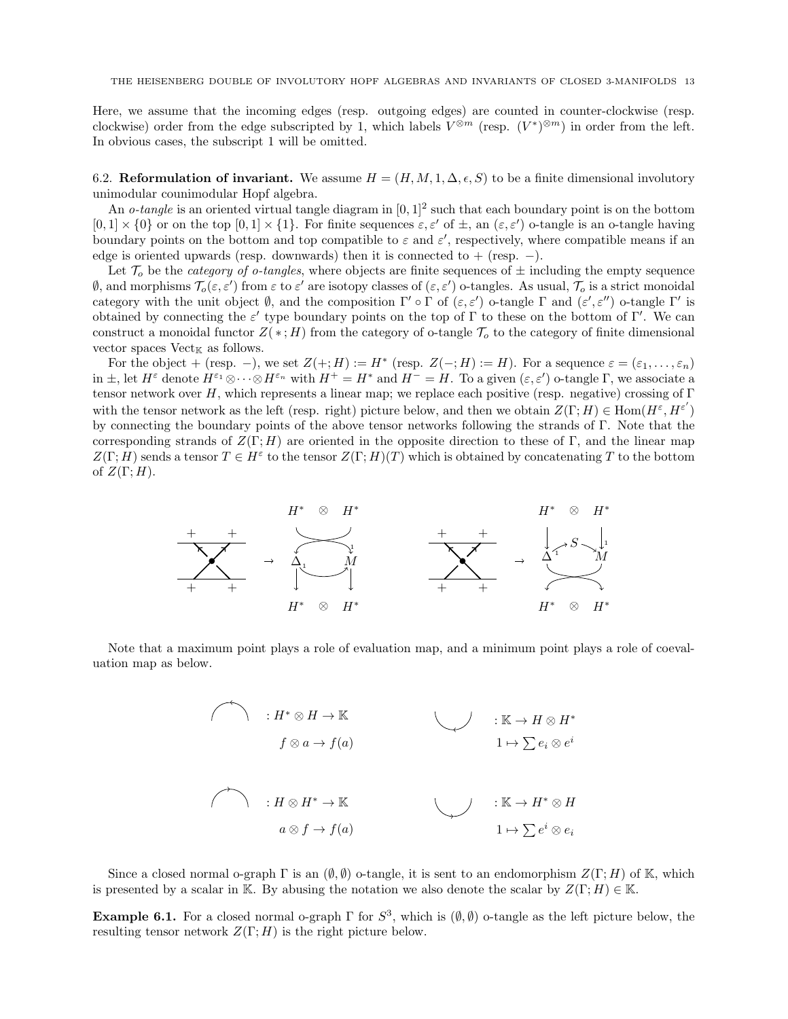Here, we assume that the incoming edges (resp. outgoing edges) are counted in counter-clockwise (resp. clockwise) order from the edge subscripted by 1, which labels  $V^{\otimes m}$  (resp.  $(V^*)^{\otimes m}$ ) in order from the left. In obvious cases, the subscript 1 will be omitted.

<span id="page-12-0"></span>6.2. Reformulation of invariant. We assume  $H = (H, M, 1, \Delta, \epsilon, S)$  to be a finite dimensional involutory unimodular counimodular Hopf algebra.

An *o-tangle* is an oriented virtual tangle diagram in  $[0, 1]^2$  such that each boundary point is on the bottom  $[0,1] \times \{0\}$  or on the top  $[0,1] \times \{1\}$ . For finite sequences  $\varepsilon, \varepsilon'$  of  $\pm$ , an  $(\varepsilon, \varepsilon')$  o-tangle is an o-tangle having boundary points on the bottom and top compatible to  $\varepsilon$  and  $\varepsilon'$ , respectively, where compatible means if an edge is oriented upwards (resp. downwards) then it is connected to  $+$  (resp.  $-$ ).

Let  $\mathcal{T}_o$  be the *category of o-tangles*, where objects are finite sequences of  $\pm$  including the empty sequence  $\emptyset$ , and morphisms  $\mathcal{T}_o(\varepsilon,\varepsilon')$  from  $\varepsilon$  to  $\varepsilon'$  are isotopy classes of  $(\varepsilon,\varepsilon')$  o-tangles. As usual,  $\mathcal{T}_o$  is a strict monoidal category with the unit object  $\emptyset$ , and the composition  $\Gamma' \circ \Gamma$  of  $(\varepsilon, \varepsilon')$  o-tangle  $\Gamma$  and  $(\varepsilon', \varepsilon'')$  o-tangle  $\Gamma'$  is obtained by connecting the  $\varepsilon'$  type boundary points on the top of  $\Gamma$  to these on the bottom of  $\Gamma'$ . We can construct a monoidal functor  $Z(*;H)$  from the category of o-tangle  $\mathcal{T}_o$  to the category of finite dimensional vector spaces  $Vect_{\mathbb{K}}$  as follows.

For the object + (resp. -), we set  $Z(+;H) := H^*$  (resp.  $Z(-;H) := H$ ). For a sequence  $\varepsilon = (\varepsilon_1, \ldots, \varepsilon_n)$ in  $\pm$ , let  $H^{\varepsilon}$  denote  $H^{\varepsilon_1} \otimes \cdots \otimes H^{\varepsilon_n}$  with  $H^+ = H^*$  and  $H^- = H$ . To a given  $(\varepsilon, \varepsilon')$  o-tangle  $\Gamma$ , we associate a tensor network over H, which represents a linear map; we replace each positive (resp. negative) crossing of Γ with the tensor network as the left (resp. right) picture below, and then we obtain  $Z(\Gamma; H) \in \text{Hom}(H^{\varepsilon}, H^{\varepsilon'})$ by connecting the boundary points of the above tensor networks following the strands of Γ. Note that the corresponding strands of  $Z(\Gamma; H)$  are oriented in the opposite direction to these of Γ, and the linear map  $Z(\Gamma; H)$  sends a tensor  $T \in H^{\varepsilon}$  to the tensor  $Z(\Gamma; H)(T)$  which is obtained by concatenating T to the bottom of  $Z(\Gamma; H)$ .



Note that a maximum point plays a role of evaluation map, and a minimum point plays a role of coevaluation map as below.

> $\wedge$  :  $H^* \otimes H \to \mathbb{K}$  : K →  $H \otimes H^*$  $f \otimes a \rightarrow f(a)$  $a \otimes f \to f(a)$  $\sum e^i\otimes e_i$  $1 \mapsto \sum e_i \otimes e^i$  $\cdot : H \otimes H^* \to \mathbb{K}$   $\cdot$   $\cdot$   $\mathbb{K} \to H^* \otimes H$

Since a closed normal o-graph  $\Gamma$  is an  $(\emptyset, \emptyset)$  o-tangle, it is sent to an endomorphism  $Z(\Gamma; H)$  of K, which is presented by a scalar in K. By abusing the notation we also denote the scalar by  $Z(\Gamma; H) \in \mathbb{K}$ .

**Example 6.1.** For a closed normal o-graph  $\Gamma$  for  $S^3$ , which is  $(\emptyset, \emptyset)$  o-tangle as the left picture below, the resulting tensor network  $Z(\Gamma; H)$  is the right picture below.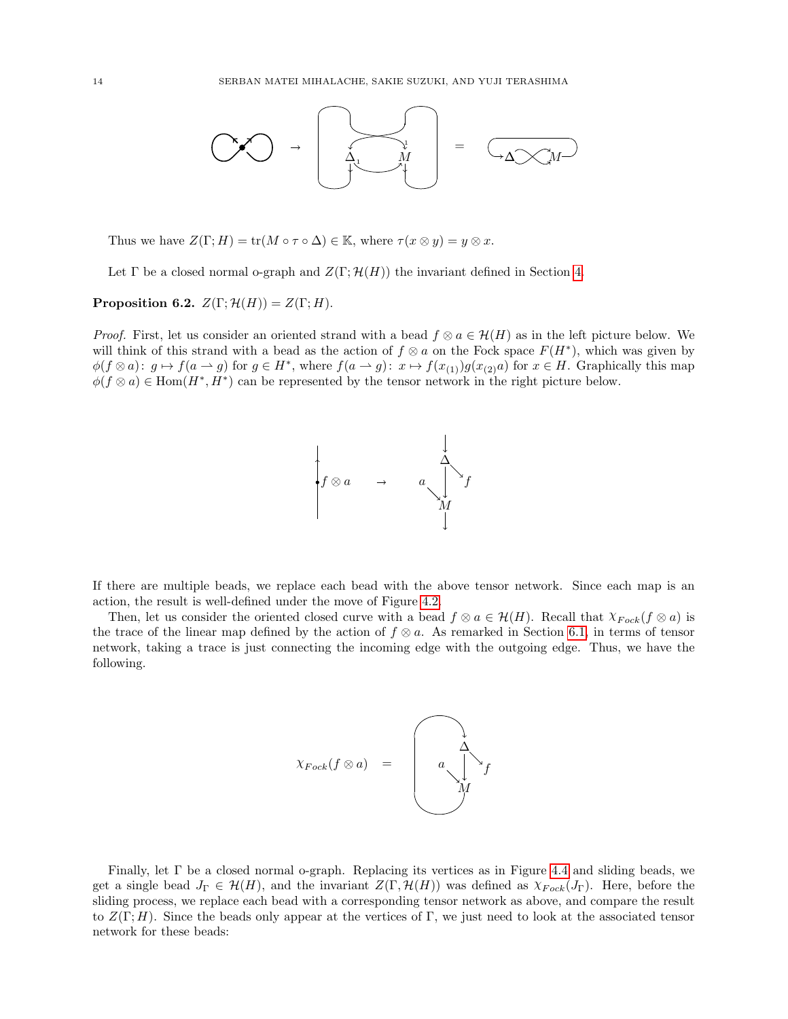

Thus we have  $Z(\Gamma; H) = \text{tr}(M \circ \tau \circ \Delta) \in \mathbb{K}$ , where  $\tau(x \otimes y) = y \otimes x$ .

Let  $\Gamma$  be a closed normal o-graph and  $Z(\Gamma;\mathcal{H}(H))$  the invariant defined in Section [4.](#page-6-0)

**Proposition 6.2.**  $Z(\Gamma; \mathcal{H}(H)) = Z(\Gamma; H)$ .

*Proof.* First, let us consider an oriented strand with a bead  $f \otimes a \in \mathcal{H}(H)$  as in the left picture below. We will think of this strand with a bead as the action of  $f \otimes a$  on the Fock space  $F(H^*)$ , which was given by  $\phi(f \otimes a): g \mapsto f(a \to g)$  for  $g \in H^*$ , where  $f(a \to g): x \mapsto f(x_{(1)})g(x_{(2)}a)$  for  $x \in H$ . Graphically this map  $\phi(f \otimes a) \in \text{Hom}(H^*, H^*)$  can be represented by the tensor network in the right picture below.



If there are multiple beads, we replace each bead with the above tensor network. Since each map is an action, the result is well-defined under the move of Figure [4.2.](#page-6-4)

Then, let us consider the oriented closed curve with a bead  $f \otimes a \in \mathcal{H}(H)$ . Recall that  $\chi_{Fock}(f \otimes a)$  is the trace of the linear map defined by the action of  $f \otimes a$ . As remarked in Section [6.1,](#page-11-1) in terms of tensor network, taking a trace is just connecting the incoming edge with the outgoing edge. Thus, we have the following.

$$
\chi_{Fock}(f \otimes a) = \begin{pmatrix} 1 & 1 \\ 0 & 1 \\ 0 & 1 \end{pmatrix} f
$$

Finally, let Γ be a closed normal o-graph. Replacing its vertices as in Figure [4.4](#page-7-2) and sliding beads, we get a single bead  $J_{\Gamma} \in \mathcal{H}(H)$ , and the invariant  $Z(\Gamma, \mathcal{H}(H))$  was defined as  $\chi_{Fock}(J_{\Gamma})$ . Here, before the sliding process, we replace each bead with a corresponding tensor network as above, and compare the result to  $Z(\Gamma; H)$ . Since the beads only appear at the vertices of Γ, we just need to look at the associated tensor network for these beads: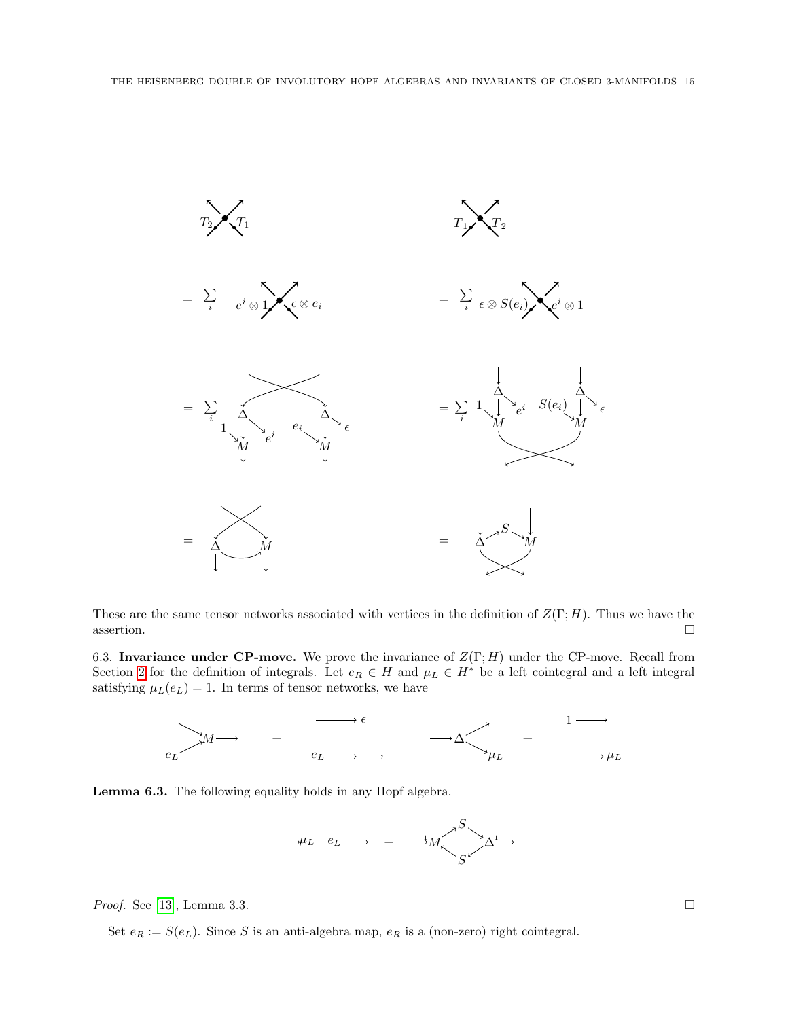

These are the same tensor networks associated with vertices in the definition of  $Z(\Gamma; H)$ . Thus we have the  $\Box$ assertion.

<span id="page-14-0"></span>6.3. Invariance under CP-move. We prove the invariance of  $Z(\Gamma; H)$  under the CP-move. Recall from Section [2](#page-1-0) for the definition of integrals. Let  $e_R \in H$  and  $\mu_L \in H^*$  be a left cointegral and a left integral satisfying  $\mu_L(e_L) = 1$ . In terms of tensor networks, we have



<span id="page-14-1"></span>Lemma 6.3. The following equality holds in any Hopf algebra.



*Proof.* See [\[13\]](#page-19-15), Lemma 3.3.  $\Box$ 

Set  $e_R := S(e_L)$ . Since S is an anti-algebra map,  $e_R$  is a (non-zero) right cointegral.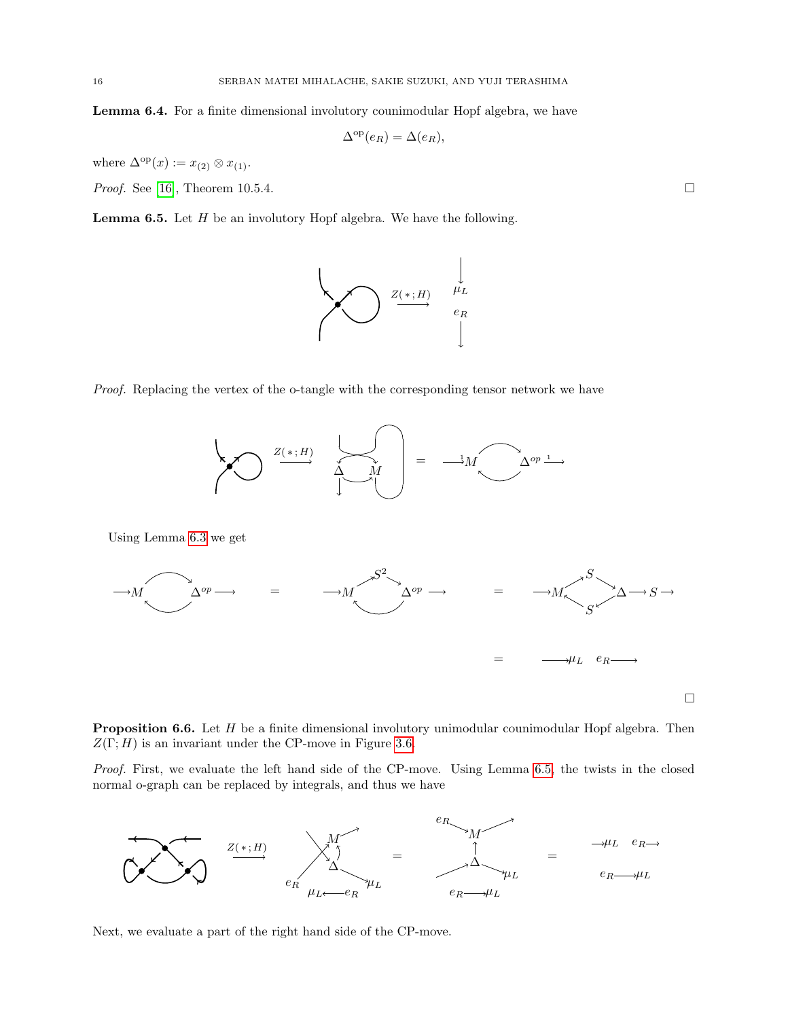<span id="page-15-2"></span>Lemma 6.4. For a finite dimensional involutory counimodular Hopf algebra, we have

$$
\Delta^{\mathrm{op}}(e_R) = \Delta(e_R),
$$

where  $\Delta^{\text{op}}(x) := x_{(2)} \otimes x_{(1)}$ .

*Proof.* See [\[16\]](#page-19-11), Theorem 10.5.4.

<span id="page-15-1"></span>**Lemma 6.5.** Let  $H$  be an involutory Hopf algebra. We have the following.

 $Z(*;H)$ 



 $\Delta$  M



<span id="page-15-0"></span>

Proof. First, we evaluate the left hand side of the CP-move. Using Lemma [6.5,](#page-15-1) the twists in the closed normal o-graph can be replaced by integrals, and thus we have



Next, we evaluate a part of the right hand side of the CP-move.





 $\stackrel{\rightarrow}{\longrightarrow} M$   $\stackrel{\sim}{\longrightarrow} \Delta^{op} \stackrel{1}{\longrightarrow}$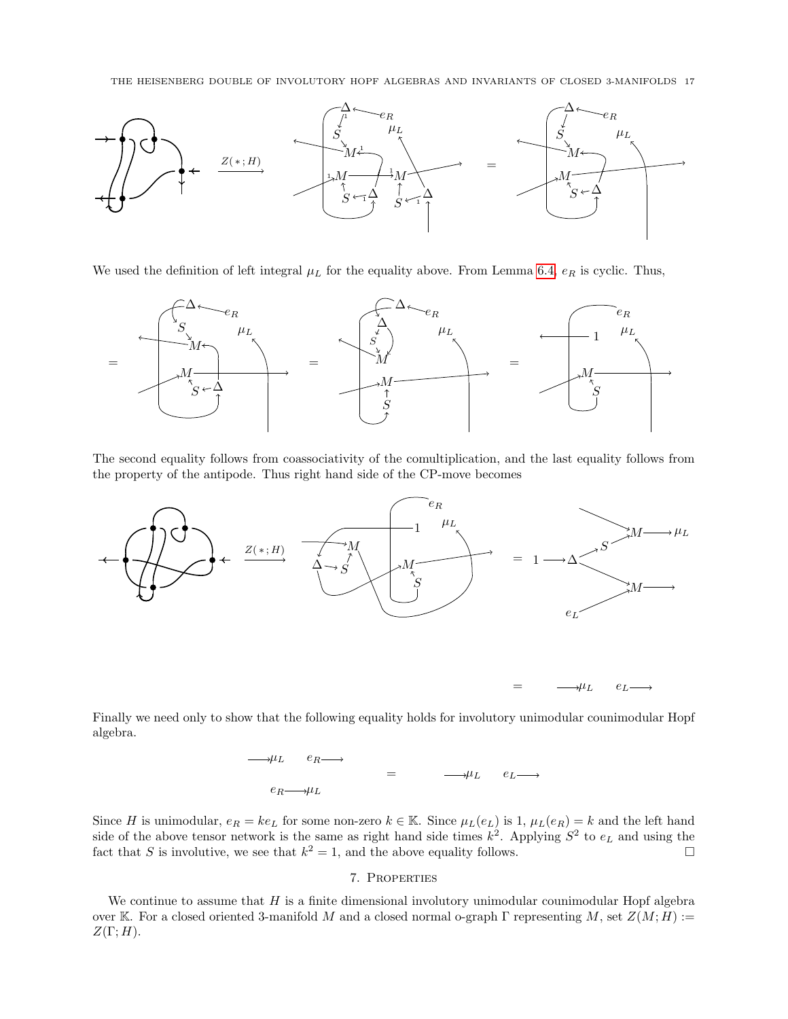

We used the definition of left integral  $\mu_L$  for the equality above. From Lemma [6.4,](#page-15-2)  $e_R$  is cyclic. Thus,



The second equality follows from coassociativity of the comultiplication, and the last equality follows from the property of the antipode. Thus right hand side of the CP-move becomes



Finally we need only to show that the following equality holds for involutory unimodular counimodular Hopf algebra.



Since H is unimodular,  $e_R = ke_L$  for some non-zero  $k \in \mathbb{K}$ . Since  $\mu_L(e_L)$  is 1,  $\mu_L(e_R) = k$  and the left hand side of the above tensor network is the same as right hand side times  $k^2$ . Applying  $S^2$  to  $e_L$  and using the fact that S is involutive, we see that  $k^2 = 1$ , and the above equality follows.

# 7. Properties

<span id="page-16-0"></span>We continue to assume that  $H$  is a finite dimensional involutory unimodular counimodular Hopf algebra over K. For a closed oriented 3-manifold M and a closed normal o-graph Γ representing M, set  $Z(M; H) :=$  $Z(\Gamma;H)$ .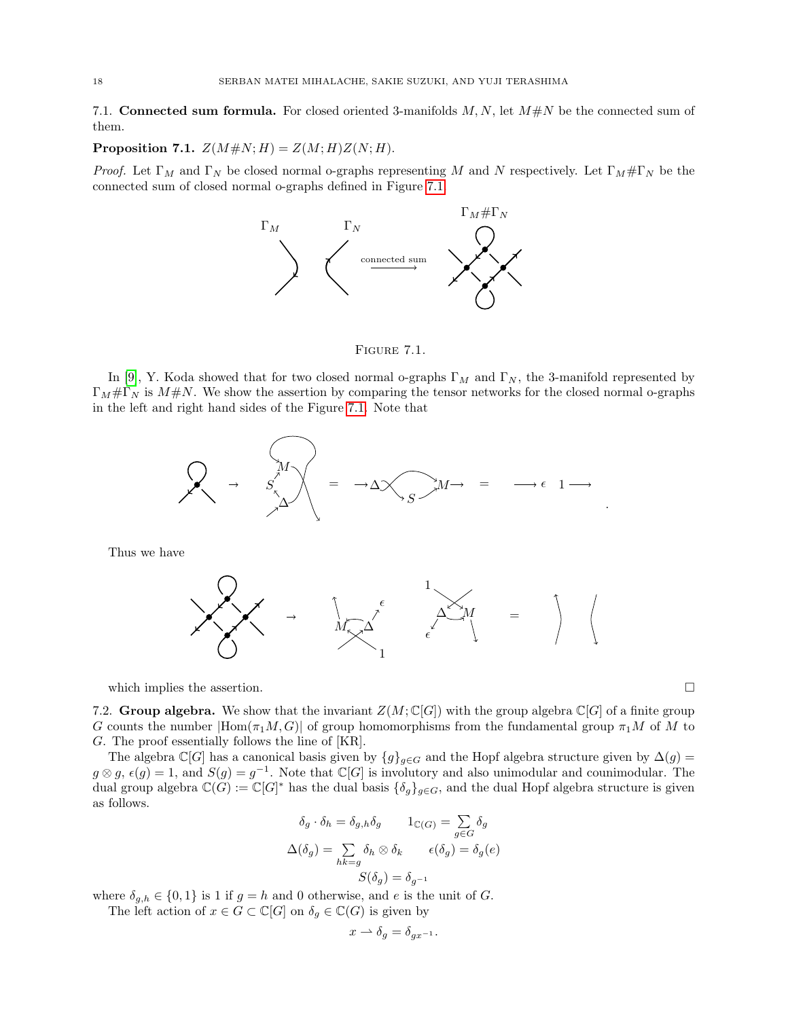<span id="page-17-0"></span>7.1. Connected sum formula. For closed oriented 3-manifolds  $M, N$ , let  $M \# N$  be the connected sum of them.

Proposition 7.1.  $Z(M \# N; H) = Z(M; H)Z(N; H)$ .

*Proof.* Let  $\Gamma_M$  and  $\Gamma_N$  be closed normal o-graphs representing M and N respectively. Let  $\Gamma_M \# \Gamma_N$  be the connected sum of closed normal o-graphs defined in Figure [7.1.](#page-17-2)



<span id="page-17-2"></span>FIGURE 7.1.

In [\[9\]](#page-19-16), Y. Koda showed that for two closed normal o-graphs  $\Gamma_M$  and  $\Gamma_N$ , the 3-manifold represented by  $\Gamma_M \# \Gamma_N$  is  $M \# N$ . We show the assertion by comparing the tensor networks for the closed normal o-graphs in the left and right hand sides of the Figure [7.1.](#page-17-2) Note that



Thus we have



which implies the assertion.  $\Box$ 

<span id="page-17-1"></span>7.2. Group algebra. We show that the invariant  $Z(M; \mathbb{C}[G])$  with the group algebra  $\mathbb{C}[G]$  of a finite group G counts the number  $|Hom(\pi_1M, G)|$  of group homomorphisms from the fundamental group  $\pi_1M$  of M to G. The proof essentially follows the line of [KR].

The algebra  $\mathbb{C}[G]$  has a canonical basis given by  $\{g\}_{g\in G}$  and the Hopf algebra structure given by  $\Delta(g)$  =  $g \otimes g$ ,  $\epsilon(g) = 1$ , and  $S(g) = g^{-1}$ . Note that  $\mathbb{C}[G]$  is involutory and also unimodular and counimodular. The dual group algebra  $\mathbb{C}(G) := \mathbb{C}[G]^*$  has the dual basis  $\{\delta_g\}_{g \in G}$ , and the dual Hopf algebra structure is given as follows.

$$
\delta_g \cdot \delta_h = \delta_{g,h} \delta_g \qquad 1_{\mathbb{C}(G)} = \sum_{g \in G} \delta_g
$$

$$
\Delta(\delta_g) = \sum_{hk=g} \delta_h \otimes \delta_k \qquad \epsilon(\delta_g) = \delta_g(e)
$$

$$
S(\delta_g) = \delta_{g^{-1}}
$$

where  $\delta_{g,h} \in \{0,1\}$  is 1 if  $g = h$  and 0 otherwise, and e is the unit of G. The left action of  $x \in G \subset \mathbb{C}[G]$  on  $\delta_g \in \mathbb{C}(G)$  is given by

$$
x \rightharpoonup \delta_g = \delta_{gx^{-1}}.
$$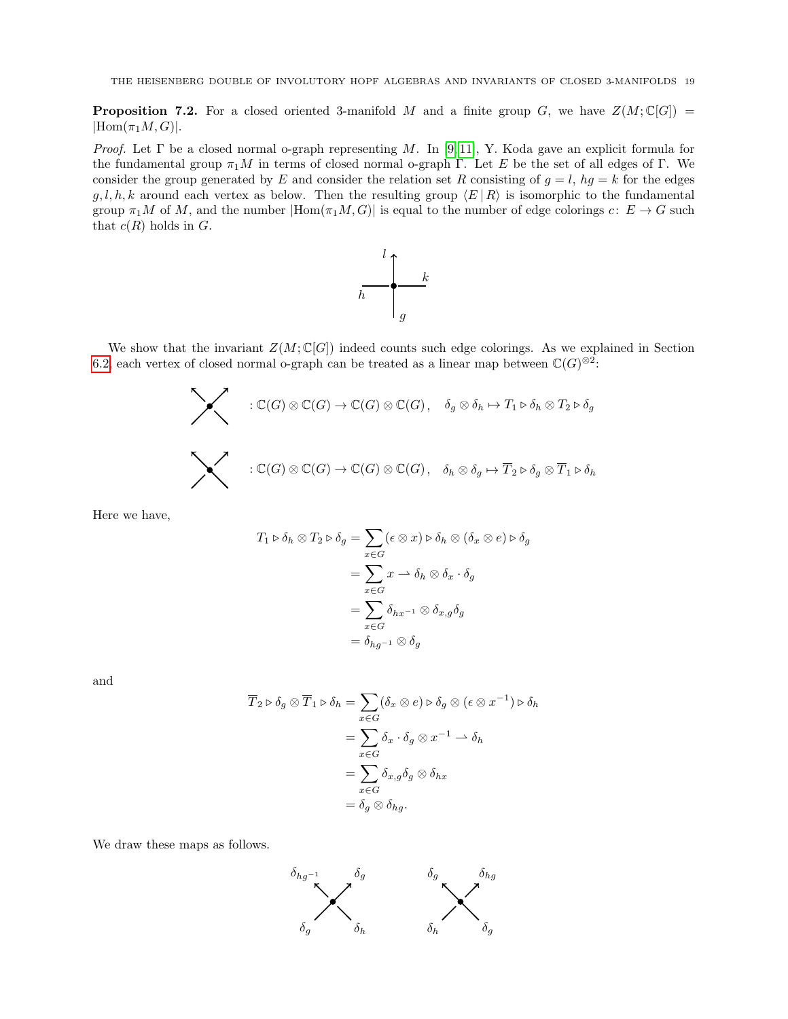**Proposition 7.2.** For a closed oriented 3-manifold M and a finite group G, we have  $Z(M; \mathbb{C}[G]) =$  $|Hom(\pi_1M, G)|.$ 

*Proof.* Let  $\Gamma$  be a closed normal o-graph representing M. In [\[9,](#page-19-16) [11\]](#page-19-17), Y. Koda gave an explicit formula for the fundamental group  $\pi_1M$  in terms of closed normal o-graph Γ. Let E be the set of all edges of Γ. We consider the group generated by E and consider the relation set R consisting of  $g = l$ ,  $hg = k$  for the edges  $g, l, h, k$  around each vertex as below. Then the resulting group  $\langle E | R \rangle$  is isomorphic to the fundamental group  $\pi_1M$  of M, and the number  $|\text{Hom}(\pi_1M, G)|$  is equal to the number of edge colorings c:  $E \to G$  such that  $c(R)$  holds in  $G$ .



We show that the invariant  $Z(M; \mathbb{C}[G])$  indeed counts such edge colorings. As we explained in Section [6.2,](#page-12-0) each vertex of closed normal o-graph can be treated as a linear map between  $\mathbb{C}(G)^{\otimes 2}$ :

$$
\begin{array}{ll}\n\ddots & \mathbb{C}(G) \otimes \mathbb{C}(G) \to \mathbb{C}(G) \otimes \mathbb{C}(G), \quad \delta_g \otimes \delta_h \mapsto T_1 \triangleright \delta_h \otimes T_2 \triangleright \delta_g \\
\ddots & \vdots \\
\mathbb{C}(G) \otimes \mathbb{C}(G) \to \mathbb{C}(G) \otimes \mathbb{C}(G), \quad \delta_h \otimes \delta_g \mapsto \overline{T}_2 \triangleright \delta_g \otimes \overline{T}_1 \triangleright \delta_h\n\end{array}
$$

Here we have,

$$
T_1 \triangleright \delta_h \otimes T_2 \triangleright \delta_g = \sum_{x \in G} (\epsilon \otimes x) \triangleright \delta_h \otimes (\delta_x \otimes e) \triangleright \delta_g
$$

$$
= \sum_{x \in G} x \to \delta_h \otimes \delta_x \cdot \delta_g
$$

$$
= \sum_{x \in G} \delta_{hx^{-1}} \otimes \delta_{x,g} \delta_g
$$

$$
= \delta_{hg^{-1}} \otimes \delta_g
$$

and

$$
\overline{T}_2 \triangleright \delta_g \otimes \overline{T}_1 \triangleright \delta_h = \sum_{x \in G} (\delta_x \otimes e) \triangleright \delta_g \otimes (\epsilon \otimes x^{-1}) \triangleright \delta_h
$$

$$
= \sum_{x \in G} \delta_x \cdot \delta_g \otimes x^{-1} \to \delta_h
$$

$$
= \sum_{x \in G} \delta_{x,g} \delta_g \otimes \delta_{hx}
$$

$$
= \delta_g \otimes \delta_{hg}.
$$

We draw these maps as follows.